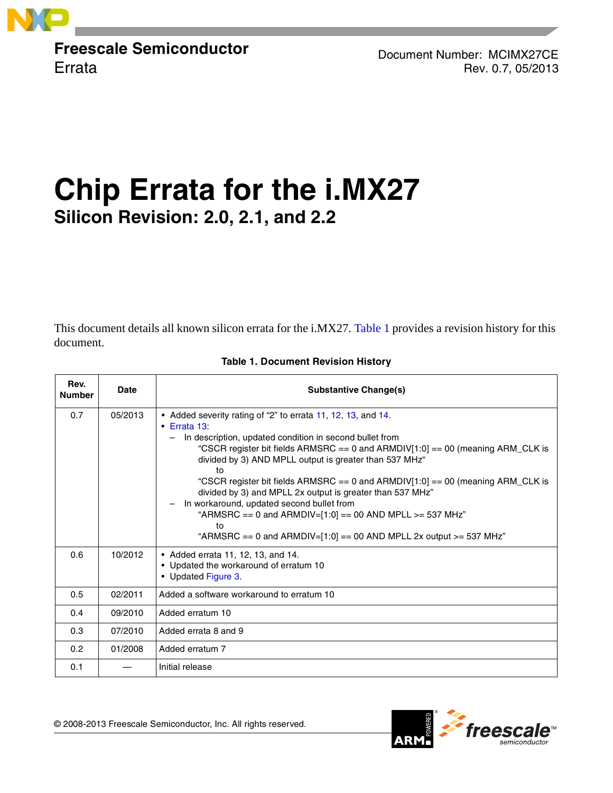

**Freescale Semiconductor Errata** 

Document Number: MCIMX27CE Rev. 0.7, 05/2013

# **Chip Errata for the i.MX27 Silicon Revision: 2.0, 2.1, and 2.2**

This document details all known silicon errata for the i.MX27. [Table 1](#page-0-0) provides a revision history for this document.

<span id="page-0-0"></span>

| Rev.<br><b>Number</b> | <b>Date</b> | <b>Substantive Change(s)</b>                                                                                                                                                                                                                                                                                                                                                                                                                                                                                                                                                                                                                                          |
|-----------------------|-------------|-----------------------------------------------------------------------------------------------------------------------------------------------------------------------------------------------------------------------------------------------------------------------------------------------------------------------------------------------------------------------------------------------------------------------------------------------------------------------------------------------------------------------------------------------------------------------------------------------------------------------------------------------------------------------|
| 0.7                   | 05/2013     | • Added severity rating of "2" to errata 11, 12, 13, and 14.<br>$\cdot$ Errata 13:<br>In description, updated condition in second bullet from<br>$-$<br>"CSCR register bit fields ARMSRC == 0 and ARMDIV[1:0] == 00 (meaning ARM_CLK is<br>divided by 3) AND MPLL output is greater than 537 MHz"<br>to<br>"CSCR register bit fields ARMSRC $== 0$ and ARMDIV[1:0] $== 00$ (meaning ARM_CLK is<br>divided by 3) and MPLL 2x output is greater than 537 MHz"<br>In workaround, updated second bullet from<br>$\qquad \qquad -$<br>"ARMSRC == 0 and ARMDIV=[1:0] == 00 AND MPLL >= 537 MHz"<br>to<br>"ARMSRC == 0 and ARMDIV=[1:0] == 00 AND MPLL 2x output >= 537 MHz" |
| 0.6                   | 10/2012     | • Added errata 11, 12, 13, and 14.<br>• Updated the workaround of erratum 10<br>• Updated Figure 3.                                                                                                                                                                                                                                                                                                                                                                                                                                                                                                                                                                   |
| 0.5                   | 02/2011     | Added a software workaround to erratum 10                                                                                                                                                                                                                                                                                                                                                                                                                                                                                                                                                                                                                             |
| 0.4                   | 09/2010     | Added erratum 10                                                                                                                                                                                                                                                                                                                                                                                                                                                                                                                                                                                                                                                      |
| 0.3                   | 07/2010     | Added errata 8 and 9                                                                                                                                                                                                                                                                                                                                                                                                                                                                                                                                                                                                                                                  |
| 0.2                   | 01/2008     | Added erratum 7                                                                                                                                                                                                                                                                                                                                                                                                                                                                                                                                                                                                                                                       |
| 0.1                   |             | Initial release                                                                                                                                                                                                                                                                                                                                                                                                                                                                                                                                                                                                                                                       |

#### **Table 1. Document Revision History**

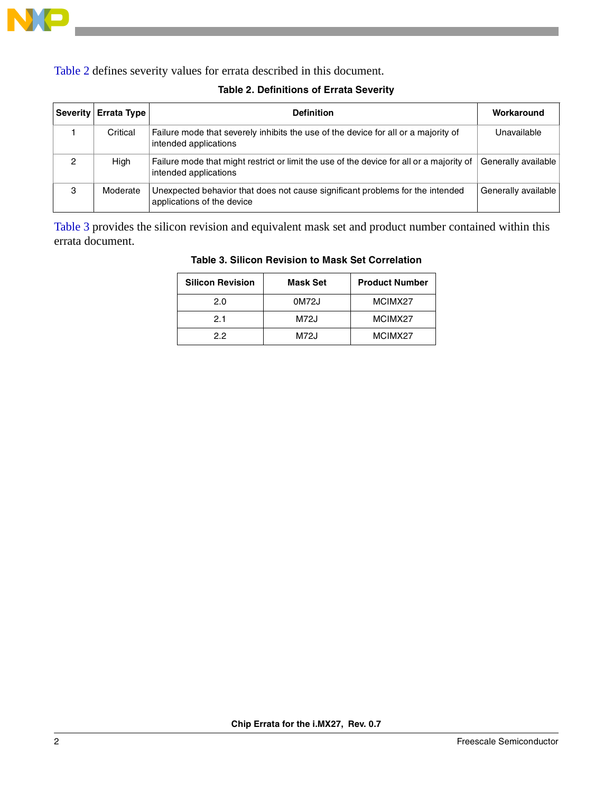

<span id="page-1-0"></span>[Table 2](#page-1-0) defines severity values for errata described in this document.

|   | Severity Errata Type | <b>Definition</b>                                                                                                 | Workaround          |
|---|----------------------|-------------------------------------------------------------------------------------------------------------------|---------------------|
|   | Critical             | Failure mode that severely inhibits the use of the device for all or a majority of<br>intended applications       | Unavailable         |
|   | High                 | Failure mode that might restrict or limit the use of the device for all or a majority of<br>intended applications | Generally available |
| 3 | Moderate             | Unexpected behavior that does not cause significant problems for the intended<br>applications of the device       | Generally available |

## **Table 2. Definitions of Errata Severity**

<span id="page-1-1"></span>[Table 3](#page-1-1) provides the silicon revision and equivalent mask set and product number contained within this errata document.

| <b>Silicon Revision</b> | <b>Mask Set</b> | <b>Product Number</b> |
|-------------------------|-----------------|-----------------------|
| 2.0                     | 0M72J           | MCIMX27               |
| 2.1                     | M72J            | MCIMX27               |
| 22                      | M72J            | MCIMX27               |

#### **Table 3. Silicon Revision to Mask Set Correlation**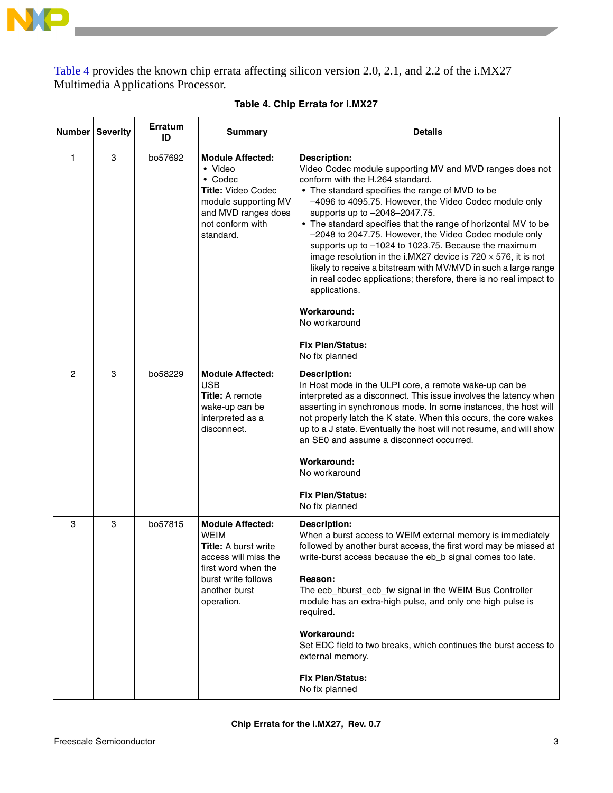

[Table 4](#page-2-0) provides the known chip errata affecting silicon version 2.0, 2.1, and 2.2 of the i.MX27 Multimedia Applications Processor.

<span id="page-2-0"></span>

|                | Number Severity | <b>Erratum</b><br>ID | <b>Summary</b>                                                                                                                                                             | <b>Details</b>                                                                                                                                                                                                                                                                                                                                                                                                                                                                                                                                                                                                                                                                                                                                                       |
|----------------|-----------------|----------------------|----------------------------------------------------------------------------------------------------------------------------------------------------------------------------|----------------------------------------------------------------------------------------------------------------------------------------------------------------------------------------------------------------------------------------------------------------------------------------------------------------------------------------------------------------------------------------------------------------------------------------------------------------------------------------------------------------------------------------------------------------------------------------------------------------------------------------------------------------------------------------------------------------------------------------------------------------------|
| 1              | 3               | bo57692              | <b>Module Affected:</b><br>• Video<br>$\bullet$ Codec<br>Title: Video Codec<br>module supporting MV<br>and MVD ranges does<br>not conform with<br>standard.                | <b>Description:</b><br>Video Codec module supporting MV and MVD ranges does not<br>conform with the H.264 standard.<br>• The standard specifies the range of MVD to be<br>-4096 to 4095.75. However, the Video Codec module only<br>supports up to -2048-2047.75.<br>• The standard specifies that the range of horizontal MV to be<br>-2048 to 2047.75. However, the Video Codec module only<br>supports up to -1024 to 1023.75. Because the maximum<br>image resolution in the i.MX27 device is $720 \times 576$ , it is not<br>likely to receive a bitstream with MV/MVD in such a large range<br>in real codec applications; therefore, there is no real impact to<br>applications.<br>Workaround:<br>No workaround<br><b>Fix Plan/Status:</b><br>No fix planned |
| $\overline{c}$ | 3               | bo58229              | <b>Module Affected:</b><br><b>USB</b><br>Title: A remote<br>wake-up can be<br>interpreted as a<br>disconnect.                                                              | <b>Description:</b><br>In Host mode in the ULPI core, a remote wake-up can be<br>interpreted as a disconnect. This issue involves the latency when<br>asserting in synchronous mode. In some instances, the host will<br>not properly latch the K state. When this occurs, the core wakes<br>up to a J state. Eventually the host will not resume, and will show<br>an SE0 and assume a disconnect occurred.<br>Workaround:<br>No workaround<br><b>Fix Plan/Status:</b><br>No fix planned                                                                                                                                                                                                                                                                            |
| 3              | 3               | bo57815              | <b>Module Affected:</b><br><b>WEIM</b><br><b>Title: A burst write</b><br>access will miss the<br>first word when the<br>burst write follows<br>another burst<br>operation. | <b>Description:</b><br>When a burst access to WEIM external memory is immediately<br>followed by another burst access, the first word may be missed at<br>write-burst access because the eb_b signal comes too late.<br>Reason:<br>The ecb_hburst_ecb_fw signal in the WEIM Bus Controller<br>module has an extra-high pulse, and only one high pulse is<br>required.<br>Workaround:<br>Set EDC field to two breaks, which continues the burst access to<br>external memory.<br><b>Fix Plan/Status:</b><br>No fix planned                                                                                                                                                                                                                                            |

#### **Table 4. Chip Errata for i.MX27**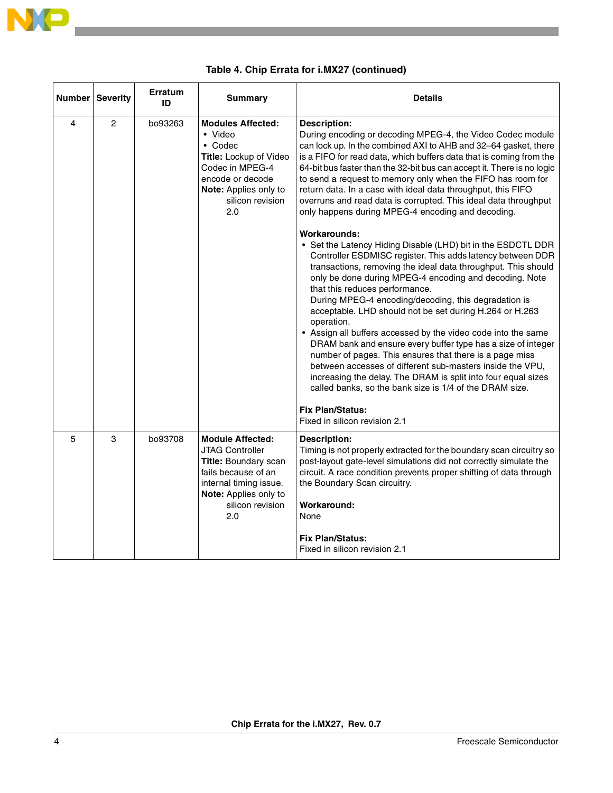

| <b>Number</b> | <b>Severity</b> | <b>Erratum</b><br>ID | <b>Summary</b>                                                                                                                                                                     | <b>Details</b>                                                                                                                                                                                                                                                                                                                                                                                                                                                                                                                                                                                                                                                                                                                                                                                                                                                                                                                                                                                                                                                                                                                                                                                                                                                                                                                                                                                                           |
|---------------|-----------------|----------------------|------------------------------------------------------------------------------------------------------------------------------------------------------------------------------------|--------------------------------------------------------------------------------------------------------------------------------------------------------------------------------------------------------------------------------------------------------------------------------------------------------------------------------------------------------------------------------------------------------------------------------------------------------------------------------------------------------------------------------------------------------------------------------------------------------------------------------------------------------------------------------------------------------------------------------------------------------------------------------------------------------------------------------------------------------------------------------------------------------------------------------------------------------------------------------------------------------------------------------------------------------------------------------------------------------------------------------------------------------------------------------------------------------------------------------------------------------------------------------------------------------------------------------------------------------------------------------------------------------------------------|
| 4             | 2               | bo93263              | <b>Modules Affected:</b><br>• Video<br>$\bullet$ Codec<br>Title: Lockup of Video<br>Codec in MPEG-4<br>encode or decode<br><b>Note:</b> Applies only to<br>silicon revision<br>2.0 | <b>Description:</b><br>During encoding or decoding MPEG-4, the Video Codec module<br>can lock up. In the combined AXI to AHB and 32–64 gasket, there<br>is a FIFO for read data, which buffers data that is coming from the<br>64-bit bus faster than the 32-bit bus can accept it. There is no logic<br>to send a request to memory only when the FIFO has room for<br>return data. In a case with ideal data throughput, this FIFO<br>overruns and read data is corrupted. This ideal data throughput<br>only happens during MPEG-4 encoding and decoding.<br>Workarounds:<br>• Set the Latency Hiding Disable (LHD) bit in the ESDCTL DDR<br>Controller ESDMISC register. This adds latency between DDR<br>transactions, removing the ideal data throughput. This should<br>only be done during MPEG-4 encoding and decoding. Note<br>that this reduces performance.<br>During MPEG-4 encoding/decoding, this degradation is<br>acceptable. LHD should not be set during H.264 or H.263<br>operation.<br>• Assign all buffers accessed by the video code into the same<br>DRAM bank and ensure every buffer type has a size of integer<br>number of pages. This ensures that there is a page miss<br>between accesses of different sub-masters inside the VPU,<br>increasing the delay. The DRAM is split into four equal sizes<br>called banks, so the bank size is 1/4 of the DRAM size.<br><b>Fix Plan/Status:</b> |
|               |                 |                      |                                                                                                                                                                                    | Fixed in silicon revision 2.1                                                                                                                                                                                                                                                                                                                                                                                                                                                                                                                                                                                                                                                                                                                                                                                                                                                                                                                                                                                                                                                                                                                                                                                                                                                                                                                                                                                            |
| 5             | 3               | bo93708              | <b>Module Affected:</b><br><b>JTAG Controller</b><br>Title: Boundary scan<br>fails because of an<br>internal timing issue.<br>Note: Applies only to<br>silicon revision<br>2.0     | <b>Description:</b><br>Timing is not properly extracted for the boundary scan circuitry so<br>post-layout gate-level simulations did not correctly simulate the<br>circuit. A race condition prevents proper shifting of data through<br>the Boundary Scan circuitry.<br>Workaround:<br>None<br><b>Fix Plan/Status:</b><br>Fixed in silicon revision 2.1                                                                                                                                                                                                                                                                                                                                                                                                                                                                                                                                                                                                                                                                                                                                                                                                                                                                                                                                                                                                                                                                 |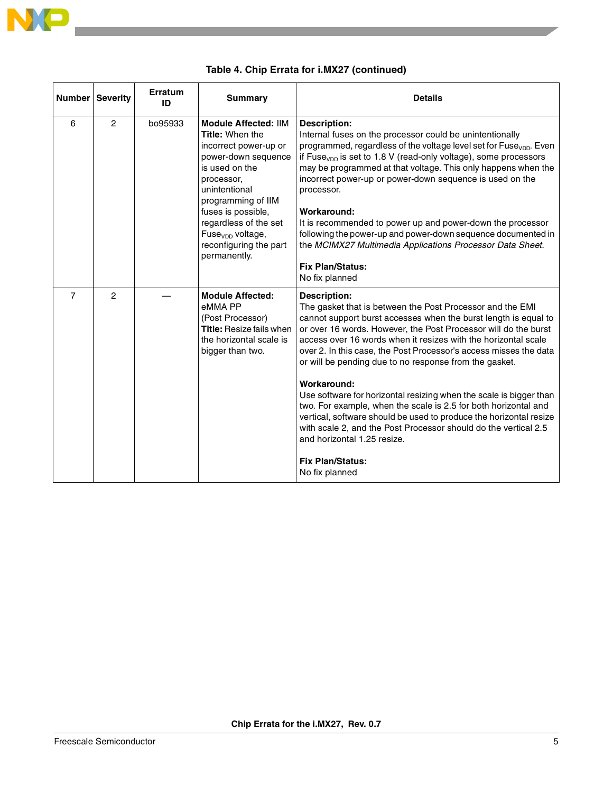

|                | <b>Number Severity</b> | Erratum<br>ID | <b>Summary</b>                                                                                                                                                                                                                                                                                        | <b>Details</b>                                                                                                                                                                                                                                                                                                                                                                                                                                                                                                                                                                                                                                                                                                                                                                                       |
|----------------|------------------------|---------------|-------------------------------------------------------------------------------------------------------------------------------------------------------------------------------------------------------------------------------------------------------------------------------------------------------|------------------------------------------------------------------------------------------------------------------------------------------------------------------------------------------------------------------------------------------------------------------------------------------------------------------------------------------------------------------------------------------------------------------------------------------------------------------------------------------------------------------------------------------------------------------------------------------------------------------------------------------------------------------------------------------------------------------------------------------------------------------------------------------------------|
| 6              | $\overline{2}$         | bo95933       | <b>Module Affected: IIM</b><br><b>Title: When the</b><br>incorrect power-up or<br>power-down sequence<br>is used on the<br>processor,<br>unintentional<br>programming of IIM<br>fuses is possible,<br>regardless of the set<br>Fuse <sub>von</sub> voltage,<br>reconfiguring the part<br>permanently. | <b>Description:</b><br>Internal fuses on the processor could be unintentionally<br>programmed, regardless of the voltage level set for Fuse <sub>vop</sub> . Even<br>if Fuse <sub>vop</sub> is set to 1.8 V (read-only voltage), some processors<br>may be programmed at that voltage. This only happens when the<br>incorrect power-up or power-down sequence is used on the<br>processor.<br>Workaround:<br>It is recommended to power up and power-down the processor<br>following the power-up and power-down sequence documented in<br>the MCIMX27 Multimedia Applications Processor Data Sheet.<br><b>Fix Plan/Status:</b><br>No fix planned                                                                                                                                                   |
| $\overline{7}$ | $\mathcal{P}$          |               | <b>Module Affected:</b><br>eMMA PP<br>(Post Processor)<br><b>Title: Resize fails when</b><br>the horizontal scale is<br>bigger than two.                                                                                                                                                              | <b>Description:</b><br>The gasket that is between the Post Processor and the EMI<br>cannot support burst accesses when the burst length is equal to<br>or over 16 words. However, the Post Processor will do the burst<br>access over 16 words when it resizes with the horizontal scale<br>over 2. In this case, the Post Processor's access misses the data<br>or will be pending due to no response from the gasket.<br>Workaround:<br>Use software for horizontal resizing when the scale is bigger than<br>two. For example, when the scale is 2.5 for both horizontal and<br>vertical, software should be used to produce the horizontal resize<br>with scale 2, and the Post Processor should do the vertical 2.5<br>and horizontal 1.25 resize.<br><b>Fix Plan/Status:</b><br>No fix planned |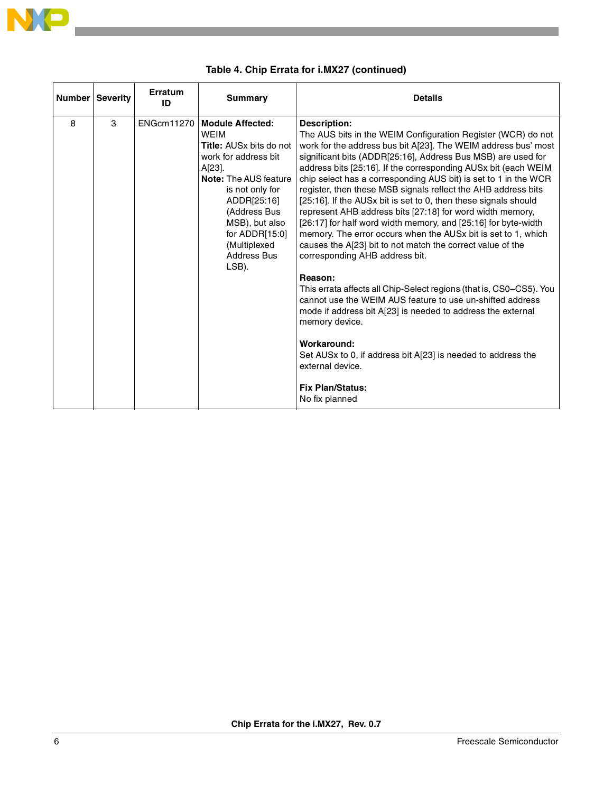

|   | Number Severity | Erratum<br>ID | <b>Summary</b>                                                                                                                                                                                                                                                          | <b>Details</b>                                                                                                                                                                                                                                                                                                                                                                                                                                                                                                                                                                                                                                                                                                                                                                                                                                                                                                                                                                                                                                                                                                                                                                 |
|---|-----------------|---------------|-------------------------------------------------------------------------------------------------------------------------------------------------------------------------------------------------------------------------------------------------------------------------|--------------------------------------------------------------------------------------------------------------------------------------------------------------------------------------------------------------------------------------------------------------------------------------------------------------------------------------------------------------------------------------------------------------------------------------------------------------------------------------------------------------------------------------------------------------------------------------------------------------------------------------------------------------------------------------------------------------------------------------------------------------------------------------------------------------------------------------------------------------------------------------------------------------------------------------------------------------------------------------------------------------------------------------------------------------------------------------------------------------------------------------------------------------------------------|
| 8 | 3               |               | ENGcm11270   Module Affected:<br><b>WEIM</b><br>Title: AUSx bits do not<br>work for address bit<br>A[23].<br>Note: The AUS feature<br>is not only for<br>ADDR[25:16]<br>(Address Bus<br>MSB), but also<br>for ADDR[15:0]<br>(Multiplexed<br><b>Address Bus</b><br>LSB). | <b>Description:</b><br>The AUS bits in the WEIM Configuration Register (WCR) do not<br>work for the address bus bit A[23]. The WEIM address bus' most<br>significant bits (ADDR[25:16], Address Bus MSB) are used for<br>address bits [25:16]. If the corresponding AUSx bit (each WEIM<br>chip select has a corresponding AUS bit) is set to 1 in the WCR<br>register, then these MSB signals reflect the AHB address bits<br>[25:16]. If the AUSx bit is set to 0, then these signals should<br>represent AHB address bits [27:18] for word width memory,<br>[26:17] for half word width memory, and [25:16] for byte-width<br>memory. The error occurs when the AUSx bit is set to 1, which<br>causes the A[23] bit to not match the correct value of the<br>corresponding AHB address bit.<br>Reason:<br>This errata affects all Chip-Select regions (that is, CS0-CS5). You<br>cannot use the WEIM AUS feature to use un-shifted address<br>mode if address bit A[23] is needed to address the external<br>memory device.<br>Workaround:<br>Set AUSx to 0, if address bit A[23] is needed to address the<br>external device.<br><b>Fix Plan/Status:</b><br>No fix planned |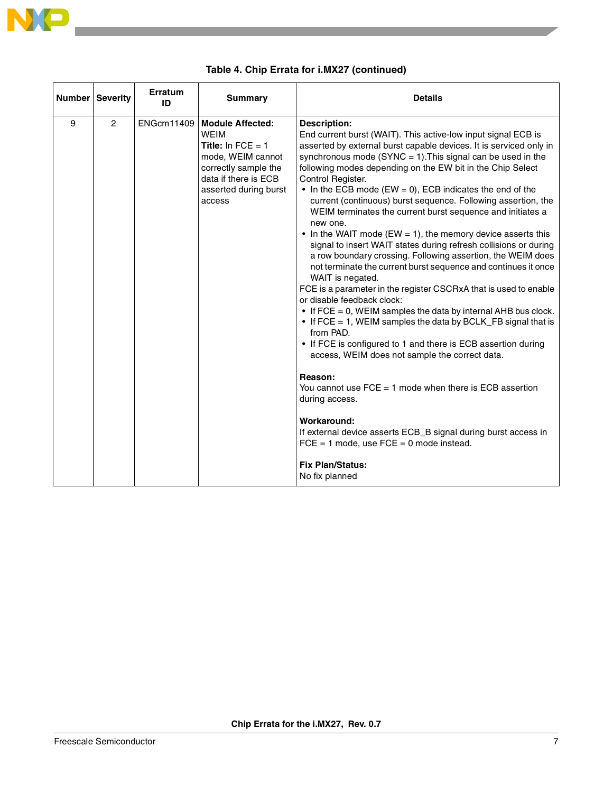

|   | Number Severity | Erratum<br>ID | <b>Summary</b>                                                                                                                                                              | <b>Details</b>                                                                                                                                                                                                                                                                                                                                                                                                                                                                                                                                                                                                                                                                                                                                                                                                                                                                                                                                                                                                                                                                                                                                                                                                                                                                                                                                                                                                                                                               |
|---|-----------------|---------------|-----------------------------------------------------------------------------------------------------------------------------------------------------------------------------|------------------------------------------------------------------------------------------------------------------------------------------------------------------------------------------------------------------------------------------------------------------------------------------------------------------------------------------------------------------------------------------------------------------------------------------------------------------------------------------------------------------------------------------------------------------------------------------------------------------------------------------------------------------------------------------------------------------------------------------------------------------------------------------------------------------------------------------------------------------------------------------------------------------------------------------------------------------------------------------------------------------------------------------------------------------------------------------------------------------------------------------------------------------------------------------------------------------------------------------------------------------------------------------------------------------------------------------------------------------------------------------------------------------------------------------------------------------------------|
| 9 | $\overline{2}$  |               | ENGcm11409   Module Affected:<br><b>WEIM</b><br>Title: In $FCE = 1$<br>mode, WEIM cannot<br>correctly sample the<br>data if there is ECB<br>asserted during burst<br>access | <b>Description:</b><br>End current burst (WAIT). This active-low input signal ECB is<br>asserted by external burst capable devices. It is serviced only in<br>synchronous mode (SYNC = $1$ ). This signal can be used in the<br>following modes depending on the EW bit in the Chip Select<br>Control Register.<br>• In the ECB mode (EW = 0), ECB indicates the end of the<br>current (continuous) burst sequence. Following assertion, the<br>WEIM terminates the current burst sequence and initiates a<br>new one.<br>$\bullet$ In the WAIT mode (EW = 1), the memory device asserts this<br>signal to insert WAIT states during refresh collisions or during<br>a row boundary crossing. Following assertion, the WEIM does<br>not terminate the current burst sequence and continues it once<br>WAIT is negated.<br>FCE is a parameter in the register CSCRxA that is used to enable<br>or disable feedback clock:<br>$\bullet$ If FCE = 0, WEIM samples the data by internal AHB bus clock.<br>• If FCE = 1, WEIM samples the data by BCLK_FB signal that is<br>from PAD.<br>• If FCE is configured to 1 and there is ECB assertion during<br>access, WEIM does not sample the correct data.<br>Reason:<br>You cannot use $FCE = 1$ mode when there is $ECB$ assertion<br>during access.<br>Workaround:<br>If external device asserts ECB_B signal during burst access in<br>$FCE = 1$ mode, use $FCE = 0$ mode instead.<br><b>Fix Plan/Status:</b><br>No fix planned |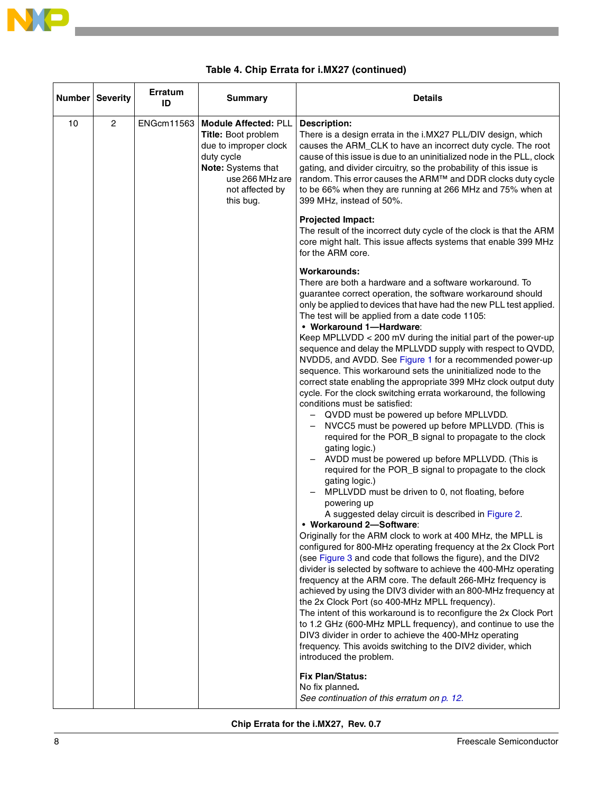

<span id="page-7-0"></span>

|    | Number Severity | Erratum<br>ID     | <b>Summary</b>                                                                                                                                                     | <b>Details</b>                                                                                                                                                                                                                                                                                                                                                                                                                                                                                                                                                                                                                                                                                                                                                                                                                                                                                                                                                                                                                                                                                                                                                                                                                                                                                                                                                                                                                                                                                                                                                                                                                                                                                                                                                                                                                                                                                                                                                                                                                                               |
|----|-----------------|-------------------|--------------------------------------------------------------------------------------------------------------------------------------------------------------------|--------------------------------------------------------------------------------------------------------------------------------------------------------------------------------------------------------------------------------------------------------------------------------------------------------------------------------------------------------------------------------------------------------------------------------------------------------------------------------------------------------------------------------------------------------------------------------------------------------------------------------------------------------------------------------------------------------------------------------------------------------------------------------------------------------------------------------------------------------------------------------------------------------------------------------------------------------------------------------------------------------------------------------------------------------------------------------------------------------------------------------------------------------------------------------------------------------------------------------------------------------------------------------------------------------------------------------------------------------------------------------------------------------------------------------------------------------------------------------------------------------------------------------------------------------------------------------------------------------------------------------------------------------------------------------------------------------------------------------------------------------------------------------------------------------------------------------------------------------------------------------------------------------------------------------------------------------------------------------------------------------------------------------------------------------------|
| 10 | $\overline{2}$  | <b>ENGcm11563</b> | <b>Module Affected: PLL</b><br>Title: Boot problem<br>due to improper clock<br>duty cycle<br>Note: Systems that<br>use 266 MHz are<br>not affected by<br>this bug. | <b>Description:</b><br>There is a design errata in the i.MX27 PLL/DIV design, which<br>causes the ARM_CLK to have an incorrect duty cycle. The root<br>cause of this issue is due to an uninitialized node in the PLL, clock<br>gating, and divider circuitry, so the probability of this issue is<br>random. This error causes the ARM™ and DDR clocks duty cycle<br>to be 66% when they are running at 266 MHz and 75% when at<br>399 MHz, instead of 50%.                                                                                                                                                                                                                                                                                                                                                                                                                                                                                                                                                                                                                                                                                                                                                                                                                                                                                                                                                                                                                                                                                                                                                                                                                                                                                                                                                                                                                                                                                                                                                                                                 |
|    |                 |                   |                                                                                                                                                                    | <b>Projected Impact:</b><br>The result of the incorrect duty cycle of the clock is that the ARM<br>core might halt. This issue affects systems that enable 399 MHz<br>for the ARM core.                                                                                                                                                                                                                                                                                                                                                                                                                                                                                                                                                                                                                                                                                                                                                                                                                                                                                                                                                                                                                                                                                                                                                                                                                                                                                                                                                                                                                                                                                                                                                                                                                                                                                                                                                                                                                                                                      |
|    |                 |                   |                                                                                                                                                                    | <b>Workarounds:</b><br>There are both a hardware and a software workaround. To<br>guarantee correct operation, the software workaround should<br>only be applied to devices that have had the new PLL test applied.<br>The test will be applied from a date code 1105:<br>• Workaround 1-Hardware:<br>Keep MPLLVDD < 200 mV during the initial part of the power-up<br>sequence and delay the MPLLVDD supply with respect to QVDD,<br>NVDD5, and AVDD. See Figure 1 for a recommended power-up<br>sequence. This workaround sets the uninitialized node to the<br>correct state enabling the appropriate 399 MHz clock output duty<br>cycle. For the clock switching errata workaround, the following<br>conditions must be satisfied:<br>QVDD must be powered up before MPLLVDD.<br>NVCC5 must be powered up before MPLLVDD. (This is<br>required for the POR_B signal to propagate to the clock<br>gating logic.)<br>AVDD must be powered up before MPLLVDD. (This is<br>required for the POR_B signal to propagate to the clock<br>gating logic.)<br>MPLLVDD must be driven to 0, not floating, before<br>powering up<br>A suggested delay circuit is described in Figure 2.<br>• Workaround 2-Software:<br>Originally for the ARM clock to work at 400 MHz, the MPLL is<br>configured for 800-MHz operating frequency at the 2x Clock Port<br>(see Figure 3 and code that follows the figure), and the DIV2<br>divider is selected by software to achieve the 400-MHz operating<br>frequency at the ARM core. The default 266-MHz frequency is<br>achieved by using the DIV3 divider with an 800-MHz frequency at<br>the 2x Clock Port (so 400-MHz MPLL frequency).<br>The intent of this workaround is to reconfigure the 2x Clock Port<br>to 1.2 GHz (600-MHz MPLL frequency), and continue to use the<br>DIV3 divider in order to achieve the 400-MHz operating<br>frequency. This avoids switching to the DIV2 divider, which<br>introduced the problem.<br><b>Fix Plan/Status:</b><br>No fix planned.<br>See continuation of this erratum on p. 12. |

### **Table 4. Chip Errata for i.MX27 (continued)**

**Chip Errata for the i.MX27, Rev. 0.7**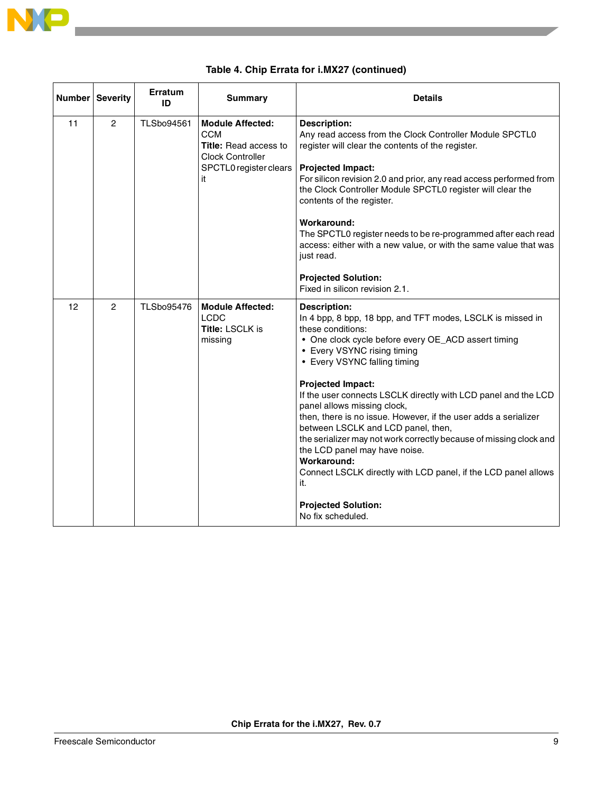

<span id="page-8-1"></span><span id="page-8-0"></span>

|    | <b>Number Severity</b> | Erratum<br>ID     | <b>Summary</b>                                                                                                                   | <b>Details</b>                                                                                                                                                                                                                                                                                                                                                                                                                                                                                                                                                                                                                                                                                  |
|----|------------------------|-------------------|----------------------------------------------------------------------------------------------------------------------------------|-------------------------------------------------------------------------------------------------------------------------------------------------------------------------------------------------------------------------------------------------------------------------------------------------------------------------------------------------------------------------------------------------------------------------------------------------------------------------------------------------------------------------------------------------------------------------------------------------------------------------------------------------------------------------------------------------|
| 11 | $\overline{2}$         | <b>TLSbo94561</b> | <b>Module Affected:</b><br><b>CCM</b><br><b>Title:</b> Read access to<br><b>Clock Controller</b><br>SPCTL0 register clears<br>it | <b>Description:</b><br>Any read access from the Clock Controller Module SPCTL0<br>register will clear the contents of the register.<br><b>Projected Impact:</b><br>For silicon revision 2.0 and prior, any read access performed from<br>the Clock Controller Module SPCTL0 register will clear the<br>contents of the register.<br>Workaround:<br>The SPCTL0 register needs to be re-programmed after each read<br>access: either with a new value, or with the same value that was<br>just read.<br><b>Projected Solution:</b>                                                                                                                                                                |
|    |                        |                   |                                                                                                                                  | Fixed in silicon revision 2.1.                                                                                                                                                                                                                                                                                                                                                                                                                                                                                                                                                                                                                                                                  |
| 12 | $\overline{2}$         | <b>TLSbo95476</b> | <b>Module Affected:</b><br><b>LCDC</b><br><b>Title: LSCLK is</b><br>missing                                                      | <b>Description:</b><br>In 4 bpp, 8 bpp, 18 bpp, and TFT modes, LSCLK is missed in<br>these conditions:<br>• One clock cycle before every OE_ACD assert timing<br>• Every VSYNC rising timing<br>• Every VSYNC falling timing<br><b>Projected Impact:</b><br>If the user connects LSCLK directly with LCD panel and the LCD<br>panel allows missing clock,<br>then, there is no issue. However, if the user adds a serializer<br>between LSCLK and LCD panel, then,<br>the serializer may not work correctly because of missing clock and<br>the LCD panel may have noise.<br>Workaround:<br>Connect LSCLK directly with LCD panel, if the LCD panel allows<br>it.<br><b>Projected Solution:</b> |
|    |                        |                   |                                                                                                                                  | No fix scheduled.                                                                                                                                                                                                                                                                                                                                                                                                                                                                                                                                                                                                                                                                               |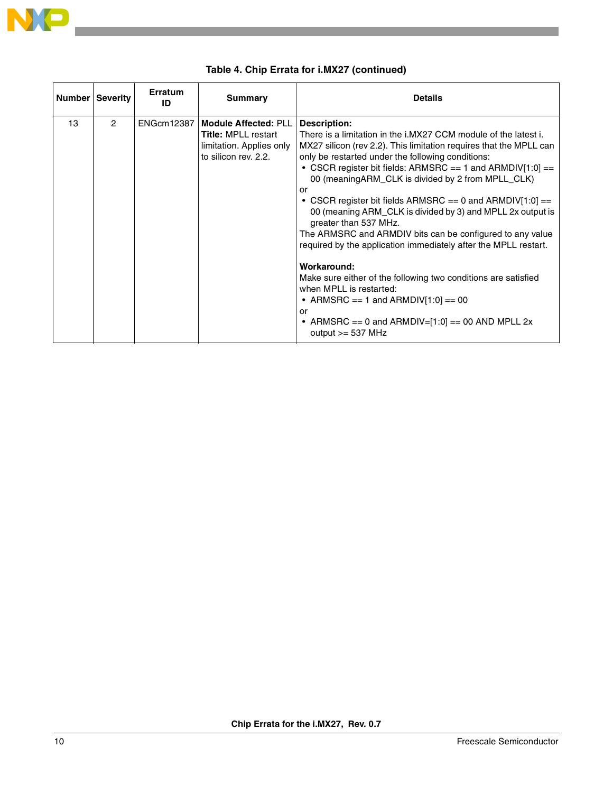

<span id="page-9-0"></span>

|    | <b>Number Severity</b> | <b>Erratum</b><br>ID | Summary                                                                                                       | <b>Details</b>                                                                                                                                                                                                                                                                                                                                                                                                                                                                                                                                                                                                                                                                                                                                                                                                                                                      |
|----|------------------------|----------------------|---------------------------------------------------------------------------------------------------------------|---------------------------------------------------------------------------------------------------------------------------------------------------------------------------------------------------------------------------------------------------------------------------------------------------------------------------------------------------------------------------------------------------------------------------------------------------------------------------------------------------------------------------------------------------------------------------------------------------------------------------------------------------------------------------------------------------------------------------------------------------------------------------------------------------------------------------------------------------------------------|
| 13 | $\mathfrak{p}$         | ENGcm12387           | <b>Module Affected: PLL</b><br><b>Title: MPLL restart</b><br>limitation. Applies only<br>to silicon rev. 2.2. | <b>Description:</b><br>There is a limitation in the i.MX27 CCM module of the latest i.<br>MX27 silicon (rev 2.2). This limitation requires that the MPLL can<br>only be restarted under the following conditions:<br>• CSCR register bit fields: ARMSRC == 1 and ARMDIV[1:0] ==<br>00 (meaning ARM CLK is divided by 2 from MPLL CLK)<br>or<br>• CSCR register bit fields ARMSRC == 0 and ARMDIV[1:0] ==<br>00 (meaning ARM_CLK is divided by 3) and MPLL 2x output is<br>greater than 537 MHz.<br>The ARMSRC and ARMDIV bits can be configured to any value<br>required by the application immediately after the MPLL restart.<br>Workaround:<br>Make sure either of the following two conditions are satisfied<br>when MPLL is restarted:<br>• ARMSRC == 1 and ARMDIV[1:0] == 00<br>or<br>• ARMSRC == 0 and ARMDIV=[1:0] == 00 AND MPLL 2x<br>output $>=$ 537 MHz |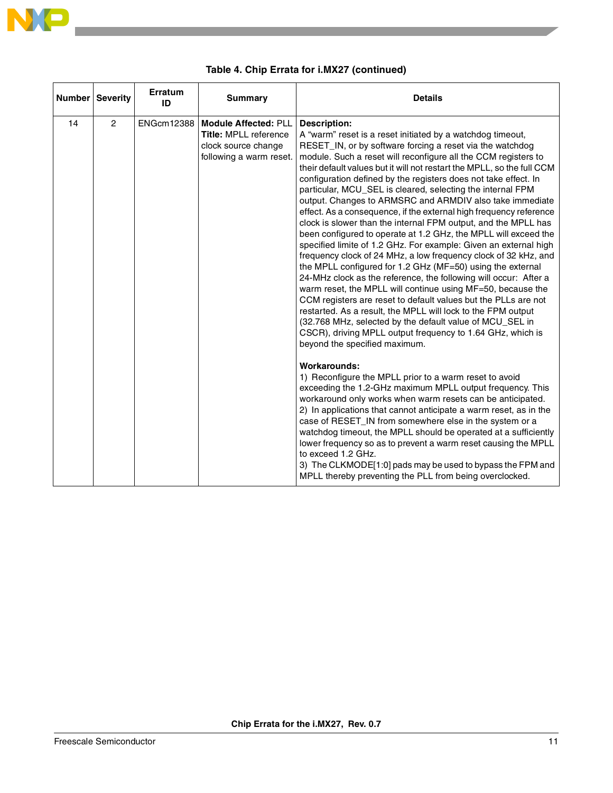

<span id="page-10-0"></span>

|    | <b>Number Severity</b> | Erratum<br>ID     | <b>Summary</b>                                                                                                | <b>Details</b>                                                                                                                                                                                                                                                                                                                                                                                                                                                                                                                                                                                                                                                                                                                                                                                                                                                                                                                                                                                                                                                                                                                                                                                                                                                                                                                                                                                                                                                                                                                                                                                                                                                                                                                                                                                                                                                                                                                                                          |
|----|------------------------|-------------------|---------------------------------------------------------------------------------------------------------------|-------------------------------------------------------------------------------------------------------------------------------------------------------------------------------------------------------------------------------------------------------------------------------------------------------------------------------------------------------------------------------------------------------------------------------------------------------------------------------------------------------------------------------------------------------------------------------------------------------------------------------------------------------------------------------------------------------------------------------------------------------------------------------------------------------------------------------------------------------------------------------------------------------------------------------------------------------------------------------------------------------------------------------------------------------------------------------------------------------------------------------------------------------------------------------------------------------------------------------------------------------------------------------------------------------------------------------------------------------------------------------------------------------------------------------------------------------------------------------------------------------------------------------------------------------------------------------------------------------------------------------------------------------------------------------------------------------------------------------------------------------------------------------------------------------------------------------------------------------------------------------------------------------------------------------------------------------------------------|
| 14 | $\overline{2}$         | <b>ENGcm12388</b> | <b>Module Affected: PLL</b><br><b>Title: MPLL reference</b><br>clock source change<br>following a warm reset. | <b>Description:</b><br>A "warm" reset is a reset initiated by a watchdog timeout,<br>RESET_IN, or by software forcing a reset via the watchdog<br>module. Such a reset will reconfigure all the CCM registers to<br>their default values but it will not restart the MPLL, so the full CCM<br>configuration defined by the registers does not take effect. In<br>particular, MCU_SEL is cleared, selecting the internal FPM<br>output. Changes to ARMSRC and ARMDIV also take immediate<br>effect. As a consequence, if the external high frequency reference<br>clock is slower than the internal FPM output, and the MPLL has<br>been configured to operate at 1.2 GHz, the MPLL will exceed the<br>specified limite of 1.2 GHz. For example: Given an external high<br>frequency clock of 24 MHz, a low frequency clock of 32 kHz, and<br>the MPLL configured for 1.2 GHz (MF=50) using the external<br>24-MHz clock as the reference, the following will occur: After a<br>warm reset, the MPLL will continue using MF=50, because the<br>CCM registers are reset to default values but the PLLs are not<br>restarted. As a result, the MPLL will lock to the FPM output<br>(32.768 MHz, selected by the default value of MCU_SEL in<br>CSCR), driving MPLL output frequency to 1.64 GHz, which is<br>beyond the specified maximum.<br><b>Workarounds:</b><br>1) Reconfigure the MPLL prior to a warm reset to avoid<br>exceeding the 1.2-GHz maximum MPLL output frequency. This<br>workaround only works when warm resets can be anticipated.<br>2) In applications that cannot anticipate a warm reset, as in the<br>case of RESET_IN from somewhere else in the system or a<br>watchdog timeout, the MPLL should be operated at a sufficiently<br>lower frequency so as to prevent a warm reset causing the MPLL<br>to exceed 1.2 GHz.<br>3) The CLKMODE[1:0] pads may be used to bypass the FPM and<br>MPLL thereby preventing the PLL from being overclocked. |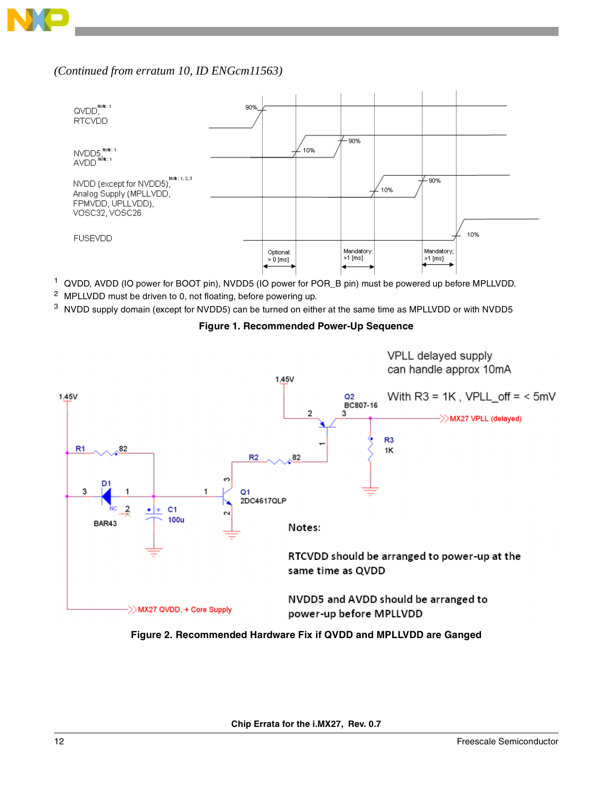

#### *(Continued from erratum 10, ID [ENGcm11563\)](#page-7-0)*



- <sup>1</sup> QVDD, AVDD (IO power for BOOT pin), NVDD5 (IO power for POR\_B pin) must be powered up before MPLLVDD.
- <sup>2</sup> MPLLVDD must be driven to 0, not floating, before powering up.
- <span id="page-11-0"></span><sup>3</sup> NVDD supply domain (except for NVDD5) can be turned on either at the same time as MPLLVDD or with NVDD5





<span id="page-11-1"></span>**Figure 2. Recommended Hardware Fix if QVDD and MPLLVDD are Ganged**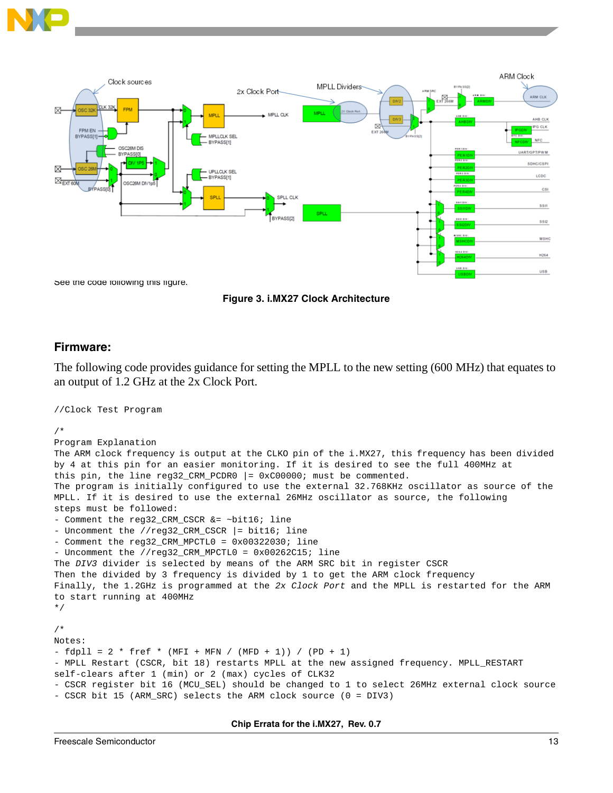



**Figure 3. i.MX27 Clock Architecture**

#### **Firmware:**

//Clock Test Program

The following code provides guidance for setting the MPLL to the new setting (600 MHz) that equates to an output of 1.2 GHz at the 2x Clock Port.

```
/*
Program Explanation
The ARM clock frequency is output at the CLKO pin of the i.MX27, this frequency has been divided 
by 4 at this pin for an easier monitoring. If it is desired to see the full 400MHz at
this pin, the line reg32 CRM PCDR0 | = 0 \times 000000; must be commented.
The program is initially configured to use the external 32.768KHz oscillator as source of the 
MPLL. If it is desired to use the external 26MHz oscillator as source, the following
steps must be followed:
- Comment the reg32_CRM_CSCR &= ~bit16; line
- Uncomment the //reg32_CRM_CSCR |= bit16; line
- Comment the reg32 CRM MPCTL0 = 0 \times 00322030; line
- Uncomment the //reg32_CRM_MPCTL0 = 0x00262C15; line
The DIV3 divider is selected by means of the ARM SRC bit in register CSCR
Then the divided by 3 frequency is divided by 1 to get the ARM clock frequency
Finally, the 1.2GHz is programmed at the 2x Clock Port and the MPLL is restarted for the ARM 
to start running at 400MHz
*/
/*
Notes:
- fdpll = 2 * fref * (MFI + MFN / (MFD + 1)) / (PD + 1)
- MPLL Restart (CSCR, bit 18) restarts MPLL at the new assigned frequency. MPLL_RESTART 
self-clears after 1 (min) or 2 (max) cycles of CLK32
- CSCR register bit 16 (MCU_SEL) should be changed to 1 to select 26MHz external clock source
- CSCR bit 15 (ARM_SRC) selects the ARM clock source (0 = DIV3)
```
**Chip Errata for the i.MX27, Rev. 0.7**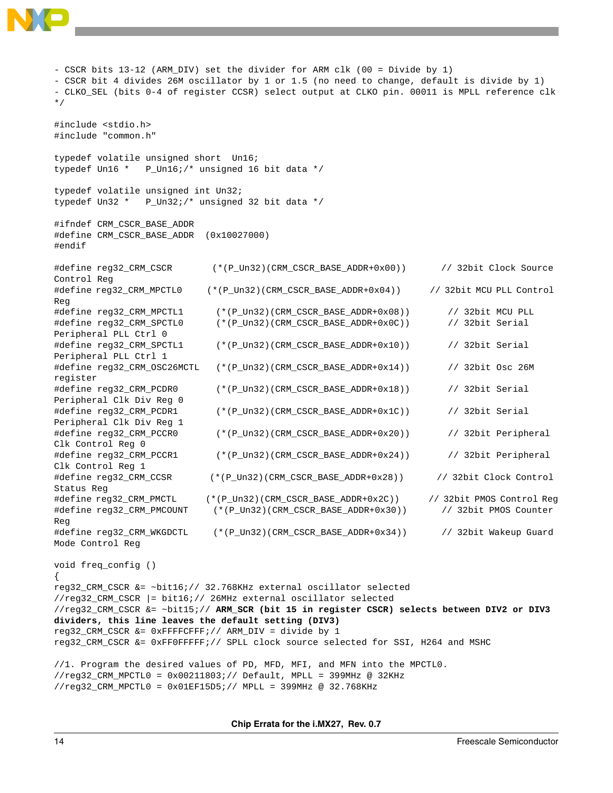

- CSCR bits 13-12 (ARM\_DIV) set the divider for ARM clk (00 = Divide by 1) - CSCR bit 4 divides 26M oscillator by 1 or 1.5 (no need to change, default is divide by 1) - CLKO\_SEL (bits 0-4 of register CCSR) select output at CLKO pin. 00011 is MPLL reference clk \*/ #include <stdio.h> #include "common.h" typedef volatile unsigned short Un16; typedef Un16 \* P\_Un16;/\* unsigned 16 bit data \*/ typedef volatile unsigned int Un32; typedef Un32 \* P\_Un32;/\* unsigned 32 bit data \*/ #ifndef CRM\_CSCR\_BASE\_ADDR #define CRM\_CSCR\_BASE\_ADDR (0x10027000) #endif #define reg32\_CRM\_CSCR (\*(P\_Un32)(CRM\_CSCR\_BASE\_ADDR+0x00)) // 32bit Clock Source Control Reg #define reg32\_CRM\_MPCTL0 (\*(P\_Un32)(CRM\_CSCR\_BASE\_ADDR+0x04)) // 32bit MCU PLL Control Reg #define reg32\_CRM\_MPCTL1 (\*(P\_Un32)(CRM\_CSCR\_BASE\_ADDR+0x08)) // 32bit MCU PLL #define reg32\_CRM\_SPCTL0 (\*(P\_Un32)(CRM\_CSCR\_BASE\_ADDR+0x0C)) // 32bit Serial Peripheral PLL Ctrl 0 #define reg32\_CRM\_SPCTL1 (\*(P\_Un32)(CRM\_CSCR\_BASE\_ADDR+0x10)) // 32bit Serial Peripheral PLL Ctrl 1 #define reg32\_CRM\_OSC26MCTL (\*(P\_Un32)(CRM\_CSCR\_BASE\_ADDR+0x14)) // 32bit Osc 26M register #define reg32\_CRM\_PCDR0 (\*(P\_Un32)(CRM\_CSCR\_BASE\_ADDR+0x18)) // 32bit Serial Peripheral Clk Div Reg 0 #define reg32\_CRM\_PCDR1 (\*(P\_Un32)(CRM\_CSCR\_BASE\_ADDR+0x1C)) // 32bit Serial Peripheral Clk Div Reg 1 #define reg32\_CRM\_PCCR0 (\*(P\_Un32)(CRM\_CSCR\_BASE\_ADDR+0x20)) // 32bit Peripheral Clk Control Reg 0 #define reg32\_CRM\_PCCR1 (\*(P\_Un32)(CRM\_CSCR\_BASE\_ADDR+0x24)) // 32bit Peripheral Clk Control Reg 1 #define reg32\_CRM\_CCSR (\*(P\_Un32)(CRM\_CSCR\_BASE\_ADDR+0x28)) // 32bit Clock Control Status Reg #define reg32\_CRM\_PMCTL (\*(P\_Un32)(CRM\_CSCR\_BASE\_ADDR+0x2C)) // 32bit PMOS Control Reg #define reg32\_CRM\_PMCOUNT (\*(P\_Un32)(CRM\_CSCR\_BASE\_ADDR+0x30)) // 32bit PMOS Counter Reg #define reg32\_CRM\_WKGDCTL (\*(P\_Un32)(CRM\_CSCR\_BASE\_ADDR+0x34)) // 32bit Wakeup Guard Mode Control Reg void freq\_config () { reg32\_CRM\_CSCR &= ~bit16;// 32.768KHz external oscillator selected //reg32\_CRM\_CSCR |= bit16;// 26MHz external oscillator selected //reg32\_CRM\_CSCR &= ~bit15;// **ARM\_SCR (bit 15 in register CSCR) selects between DIV2 or DIV3 dividers, this line leaves the default setting (DIV3)** reg32\_CRM\_CSCR &= 0xFFFFCFFF;// ARM\_DIV = divide by 1 reg32\_CRM\_CSCR &= 0xFF0FFFFF;// SPLL clock source selected for SSI, H264 and MSHC //1. Program the desired values of PD, MFD, MFI, and MFN into the MPCTL0.  $//reg32_CRM_MPCTL0 = 0x00211803i//Default, MPLL = 399MHz @ 32KHz$ 

**Chip Errata for the i.MX27, Rev. 0.7**

//reg32\_CRM\_MPCTL0 = 0x01EF15D5;// MPLL = 399MHz @ 32.768KHz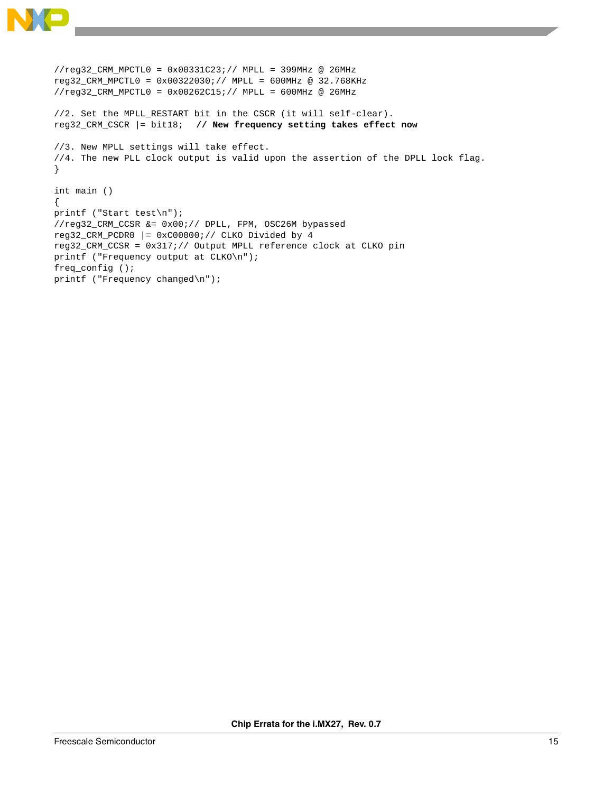

```
//reg32_CRM_MPCTL0 = 0x00331C23;// MPLL = 399MHz @ 26MHz
reg32_CRM_MPCTL0 = 0x00322030;// MPLL = 600MHz @ 32.768KHz
//reg32_CRM_MPCTL0 = 0x00262C15;// MPLL = 600MHz @ 26MHz
//2. Set the MPLL_RESTART bit in the CSCR (it will self-clear).
reg32_CRM_CSCR |= bit18; // New frequency setting takes effect now
//3. New MPLL settings will take effect.
//4. The new PLL clock output is valid upon the assertion of the DPLL lock flag.
}
int main ()
{
printf ("Start test\n");
//reg32_CRM_CCSR &= 0x00;// DPLL, FPM, OSC26M bypassed
reg32_CRM_PCDR0 |= 0xC00000i// CLKO Divided by 4reg32_CRM_CCSR = 0x317;// Output MPLL reference clock at CLKO pin
printf ("Frequency output at CLKO\n");
freq_config ();
printf ("Frequency changed\n");
```